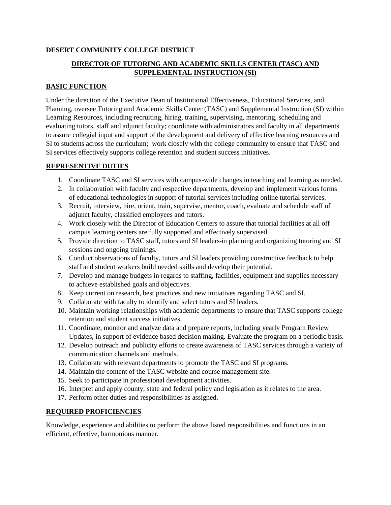#### **DESERT COMMUNITY COLLEGE DISTRICT**

## **DIRECTOR OF TUTORING AND ACADEMIC SKILLS CENTER (TASC) AND SUPPLEMENTAL INSTRUCTION (SI)**

#### **BASIC FUNCTION**

Under the direction of the Executive Dean of Institutional Effectiveness, Educational Services, and Planning, oversee Tutoring and Academic Skills Center (TASC) and Supplemental Instruction (SI) within Learning Resources, including recruiting, hiring, training, supervising, mentoring, scheduling and evaluating tutors, staff and adjunct faculty; coordinate with administrators and faculty in all departments to assure collegial input and support of the development and delivery of effective learning resources and SI to students across the curriculum; work closely with the college community to ensure that TASC and SI services effectively supports college retention and student success initiatives.

#### **REPRESENTIVE DUTIES**

- 1. Coordinate TASC and SI services with campus-wide changes in teaching and learning as needed.
- 2. In collaboration with faculty and respective departments, develop and implement various forms of educational technologies in support of tutorial services including online tutorial services.
- 3. Recruit, interview, hire, orient, train, supervise, mentor, coach, evaluate and schedule staff of adjunct faculty, classified employees and tutors.
- 4. Work closely with the Director of Education Centers to assure that tutorial facilities at all off campus learning centers are fully supported and effectively supervised.
- 5. Provide direction to TASC staff, tutors and SI leaders in planning and organizing tutoring and SI sessions and ongoing trainings.
- 6. Conduct observations of faculty, tutors and SI leaders providing constructive feedback to help staff and student workers build needed skills and develop their potential.
- 7. Develop and manage budgets in regards to staffing, facilities, equipment and supplies necessary to achieve established goals and objectives.
- 8. Keep current on research, best practices and new initiatives regarding TASC and SI.
- 9. Collaborate with faculty to identify and select tutors and SI leaders.
- 10. Maintain working relationships with academic departments to ensure that TASC supports college retention and student success initiatives.
- 11. Coordinate, monitor and analyze data and prepare reports, including yearly Program Review Updates, in support of evidence based decision making. Evaluate the program on a periodic basis.
- 12. Develop outreach and publicity efforts to create awareness of TASC services through a variety of communication channels and methods.
- 13. Collaborate with relevant departments to promote the TASC and SI programs.
- 14. Maintain the content of the TASC website and course management site.
- 15. Seek to participate in professional development activities.
- 16. Interpret and apply county, state and federal policy and legislation as it relates to the area.
- 17. Perform other duties and responsibilities as assigned.

#### **REQUIRED PROFICIENCIES**

Knowledge, experience and abilities to perform the above listed responsibilities and functions in an efficient, effective, harmonious manner.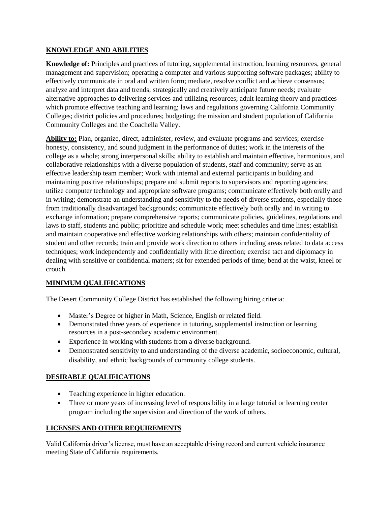#### **KNOWLEDGE AND ABILITIES**

**Knowledge of:** Principles and practices of tutoring, supplemental instruction, learning resources, general management and supervision; operating a computer and various supporting software packages; ability to effectively communicate in oral and written form; mediate, resolve conflict and achieve consensus; analyze and interpret data and trends; strategically and creatively anticipate future needs; evaluate alternative approaches to delivering services and utilizing resources; adult learning theory and practices which promote effective teaching and learning; laws and regulations governing California Community Colleges; district policies and procedures; budgeting; the mission and student population of California Community Colleges and the Coachella Valley.

**Ability to:** Plan, organize, direct, administer, review, and evaluate programs and services; exercise honesty, consistency, and sound judgment in the performance of duties; work in the interests of the college as a whole; strong interpersonal skills; ability to establish and maintain effective, harmonious, and collaborative relationships with a diverse population of students, staff and community; serve as an effective leadership team member; Work with internal and external participants in building and maintaining positive relationships; prepare and submit reports to supervisors and reporting agencies; utilize computer technology and appropriate software programs; communicate effectively both orally and in writing; demonstrate an understanding and sensitivity to the needs of diverse students, especially those from traditionally disadvantaged backgrounds; communicate effectively both orally and in writing to exchange information; prepare comprehensive reports; communicate policies, guidelines, regulations and laws to staff, students and public; prioritize and schedule work; meet schedules and time lines; establish and maintain cooperative and effective working relationships with others; maintain confidentiality of student and other records; train and provide work direction to others including areas related to data access techniques; work independently and confidentially with little direction; exercise tact and diplomacy in dealing with sensitive or confidential matters; sit for extended periods of time; bend at the waist, kneel or crouch.

### **MINIMUM QUALIFICATIONS**

The Desert Community College District has established the following hiring criteria:

- Master's Degree or higher in Math, Science, English or related field.
- Demonstrated three years of experience in tutoring, supplemental instruction or learning resources in a post-secondary academic environment.
- Experience in working with students from a diverse background.
- Demonstrated sensitivity to and understanding of the diverse academic, socioeconomic, cultural, disability, and ethnic backgrounds of community college students.

### **DESIRABLE QUALIFICATIONS**

- Teaching experience in higher education.
- Three or more years of increasing level of responsibility in a large tutorial or learning center program including the supervision and direction of the work of others.

### **LICENSES AND OTHER REQUIREMENTS**

Valid California driver's license, must have an acceptable driving record and current vehicle insurance meeting State of California requirements.